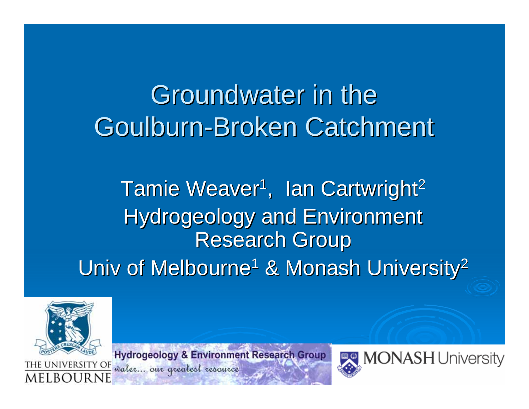# Groundwater in the Goulburn-Broken Catchment

#### Tamie Weaver<sup>1</sup>, Ian Cartwright<sup>2</sup> Hydrogeology and Environment **Research Group** Univ of Melbourne  $1$  & Monash University<sup>2</sup>



MEI ROI

**Hydrogeology & Environment Research Group** THE UNIVERSITY OF valer... our greatest resource

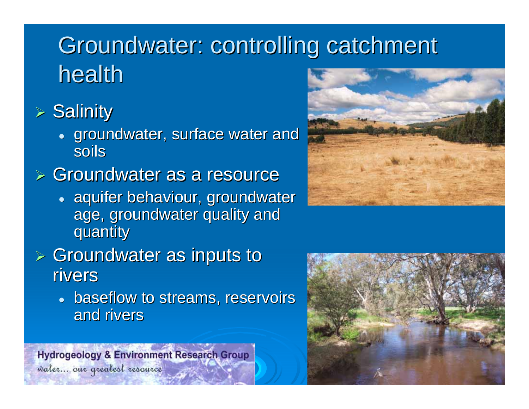## Groundwater: controlling catchment health

#### $\triangleright$  Salinity

• groundwater, surface water and soils

#### $\triangleright$  Groundwater as a resource

• aquifer behaviour, groundwater age, groundwater quality and quantity quantity

#### $\triangleright$  Groundwater as inputs to rivers

• baseflow to streams, reservoirs and rivers

**Hydrogeology & Environment Research Group** 



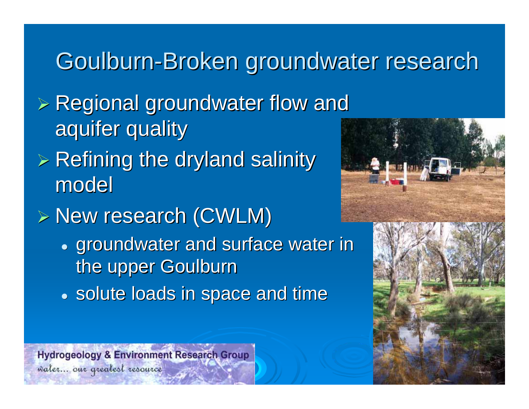## Goulburn-Broken groundwater research

- $>$  Regional groundwater flow and aquifer quality
- $>$  Refining the dryland salinity  $\geq$ model
- $\triangleright$  New research (CWLM)
	- groundwater and surface water in the upper Goulburn
	- solute loads in space and time





**Hydrogeology & Environment Research Group**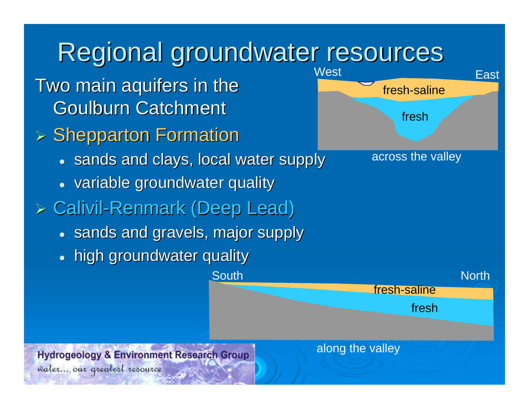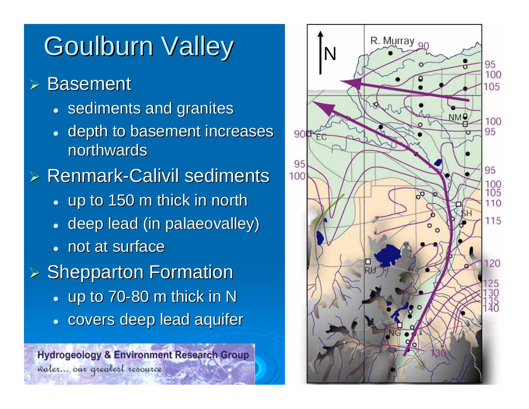# Goulburn Valley | IN

¾**Basement** 

- sediments and granites
- $\bullet$ depth to basement increases northwards

 $\triangleright$  Renmark-Calivil sediments

- $\bullet\,$  up to 150 m thick in north
- $\bullet\,$  deep lead (in palaeovalley)
- not at surface

 $\triangleright$  Shepparton Formation

- $\bullet~$  up to 70-80 m thick in N
- covers deep lead aquifer

**Hydrogeology & Environment Research Group** water... our greatest resource

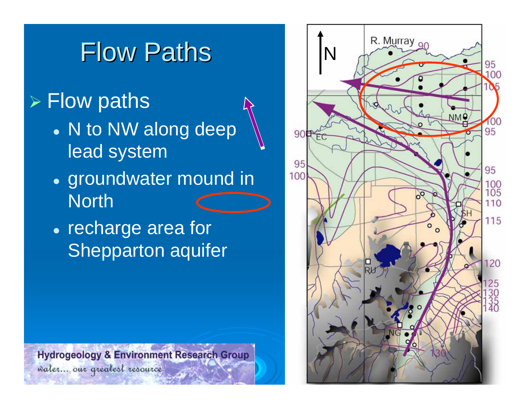# **Flow Paths**

#### $\triangleright$  Flow paths

- N to NW along deep lead system
- groundwater mound in **North**
- recharge area for Shepparton aquifer

**Hydrogeology & Environment Research Group** water... our greatest resource

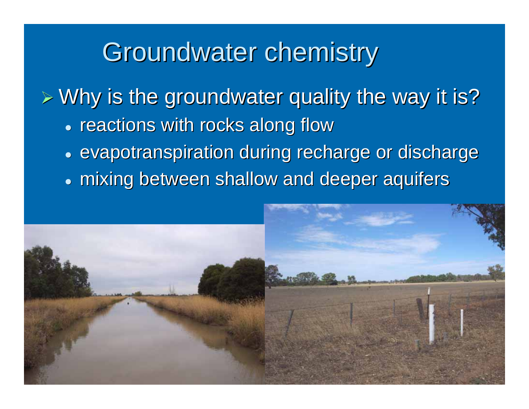## Groundwater chemistry

 $\triangleright$  Why is the groundwater quality the way it is?

- reactions with rocks along flow
- evapotranspiration during recharge or discharge
- $\bullet\,$  mixing between shallow and deeper aquifers

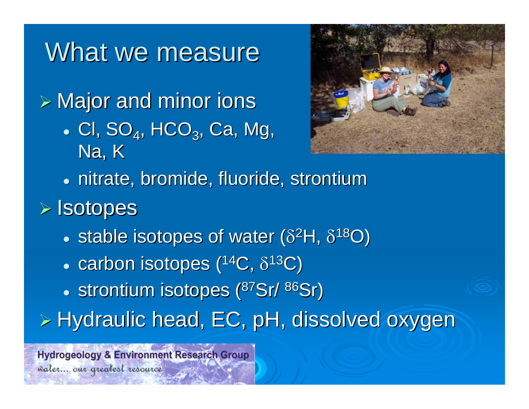### What we measure

 $\triangleright$  Major and minor ions

 $\bullet\,$  Cl, SO $_4$ , HCO $_3$ , Ca, Mg, Na, K



**• nitrate, bromide, fluoride, strontium** 

#### ¾ Isotopes Isotopes

- stable isotopes of water ( $\delta^2$ H,  $\delta^{18}$ O)
- $\bullet \,$  carbon isotopes ( $^{14}\textrm{C}$ ,  $\delta^{13}\textrm{C}$ )
- strontium isotopes (<sup>87</sup>Sr/ <sup>86</sup>Sr)
- $\triangleright$  Hydraulic head, EC, pH, dissolved oxygen

**Hydrogeology & Environment Research Group**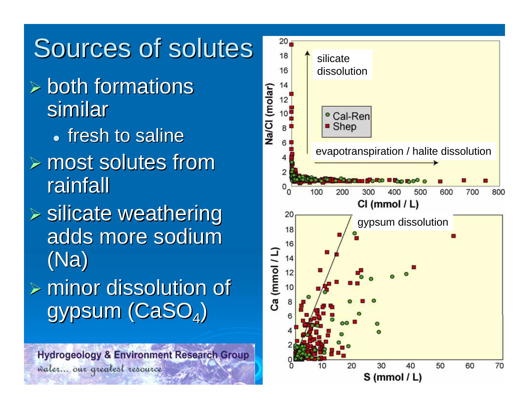# Sources of solutes

- $\triangleright$  both formations similar • fresh to saline
- $\triangleright$  most solutes from rainfall
- $\triangleright$  silicate weathering adds more sodium (Na)
- $\triangleright$  minor dissolution of gypsum (CaSO<sub>4</sub>)



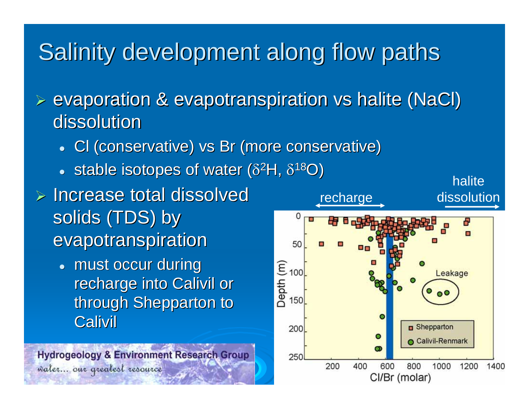### Salinity development along flow paths

 $\triangleright$  evaporation & evapotranspiration vs halite (NaCl) dissolution

- Cl (conservative) vs Br (more conservative)
- stable isotopes of water ( $\delta^2$ H,  $\delta^{18}$ O)
- $\triangleright$  Increase total dissolved solids (TDS) by evapotranspiration
	- must occur during recharge into Calivil or through Shepparton to **Calivil**

**Hydrogeology & Environment Research Group** water... our greatest resource

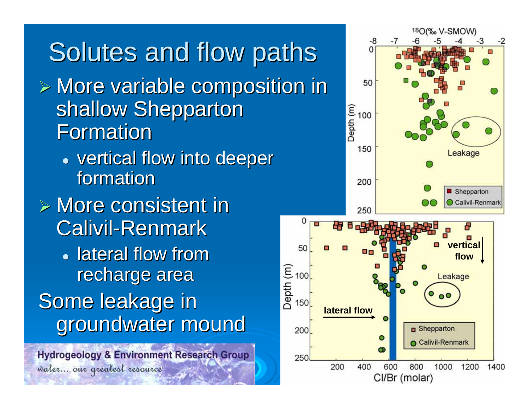#### Solutes and flow paths  $\triangleright$  More variable composition in shallow Shepparton Formation • vertical flow into deeper formation  $\triangleright$  More consistent in 0 Calivil-Renmark 50 • lateral flow from  $\begin{bmatrix} 1 & 1 & 1 \\ 1 & 1 & 1 \\ 0 & 1 & 1 \\ 0 & 0 & 1 \end{bmatrix}$ recharge area Some leakage in groundwater mound 200

**Hydrogeology & Environment Research Group** valer... our greatest resource

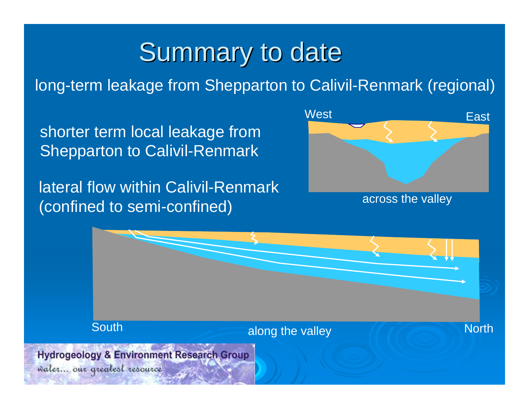## Summary to date

long-term leakage from Shepparton to Calivil-Renmark (regional)

shorter term local leakage from Shepparton to Calivil-Renmark

lateral flow within Calivil-Renmark(confined to semi-confined)



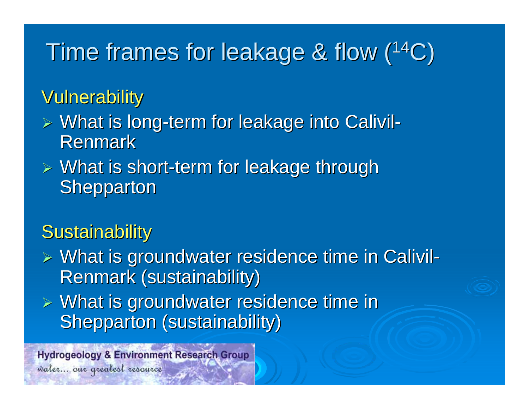### Time frames for leakage & flow  $(^{14}C)$

#### Vulnerability

- > What is long-term for leakage into Calivil - Renmark
- $\triangleright$  What is short-term for leakage through Shepparton

#### **Sustainability**

- ¾ What is groundwater residence time in What is groundwater residence time in Calivil Calivil - Renmark (sustainability)
- $\triangleright$  What is groundwater residence time in Shepparton (sustainability)

**Hydrogeology & Environment Research Group**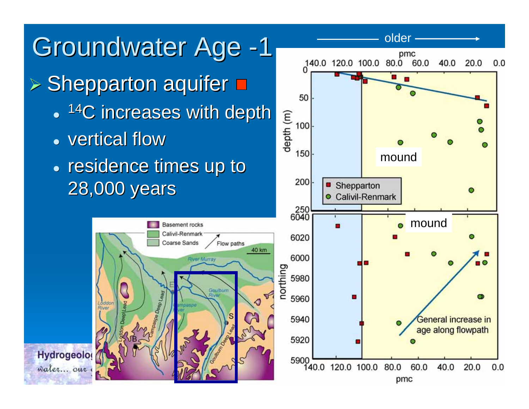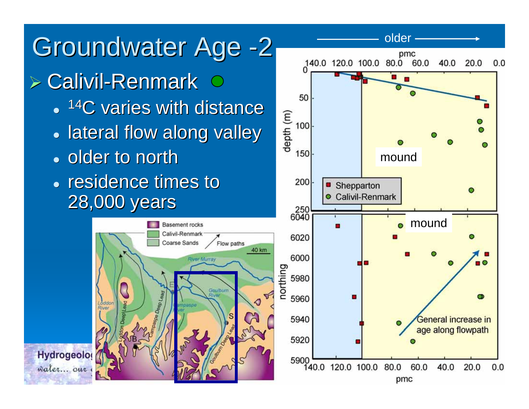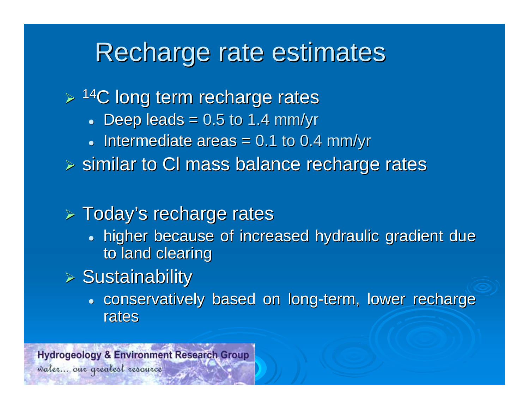### Recharge rate estimates

 $\triangleright$  <sup>14</sup>C long term recharge rates

- $\bullet$  Deep leads = 0.5 to 1.4 mm/yr
- $\bullet$  Intermediate areas = 0.1 to 0.4 mm/yr

 $\triangleright$  similar to CI mass balance recharge rates

#### $\triangleright$  Today's recharge rates

• higher because of increased hydraulic gradient due to land clearing

#### $\triangleright$  Sustainability

• conservatively based on long-term, lower recharge rates

**Hydrogeology & Environment Research Group**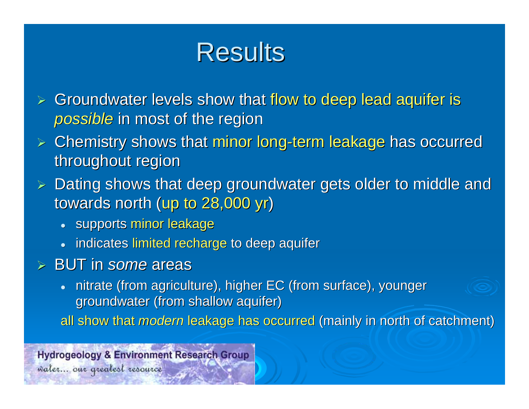## **Results**

- ¾Groundwater levels show that flow to deep lead aquifer is *possible* in most of the region
- $\triangleright$  Chemistry shows that minor long-term leakage has occurred throughout region
- $\triangleright$  Dating shows that deep groundwater gets older to middle and towards north (up to  $28,000$  yr)
	- supports minor leakage
	- indicates limited recharge to deep aquifer
- ¾ BUT in *some* areas
	- $\bullet$ nitrate (from agriculture), higher EC (from surface), younger groundwater (from shallow aquifer)
	- all show that *modern* leakage has occurred (mainly in north of catchment)

**Hydrogeology & Environment Research Group**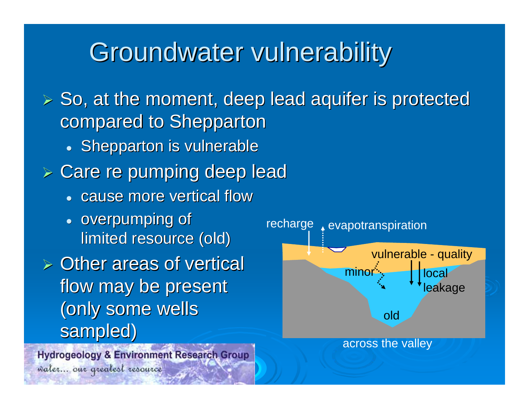### Groundwater vulnerability

 $\triangleright$  So, at the moment, deep lead aquifer is protected compared to Shepparton

- Shepparton is vulnerable
- $\triangleright$  Care re pumping deep lead
	- cause more vertical flow
	- overpumping of limited resource (old)

 $\triangleright$  Other areas of vertical flow may be present (only some wells (only some wells

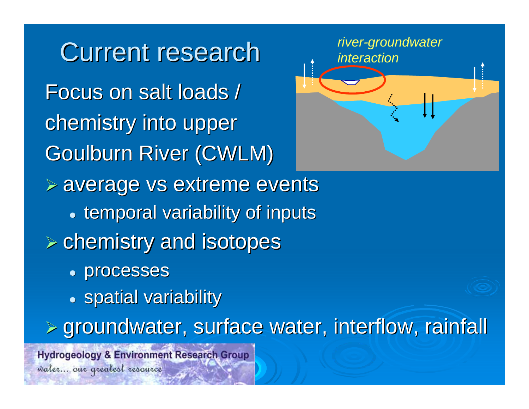**Current research** Focus on salt loads / chemistry into upper **Goulburn River (CWLM)**  $\triangleright$  average vs extreme events **• temporal variability of inputs**  $\triangleright$  chemistry and isotopes • processes  $\bullet$  spatial variability ¾ groundwater, surface water, interflow, rainfall groundwater, surface water, interflow, rainfall **Hydrogeology & Environment Research Group** 

water... our greatest resource

*river-groundwater interaction*